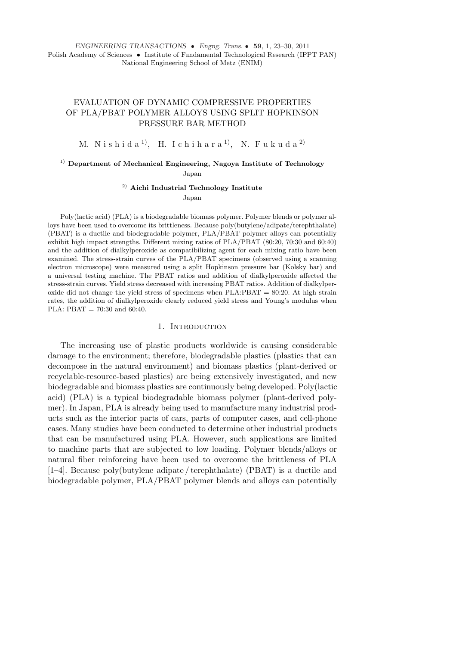*ENGINEERING TRANSACTIONS* • *Engng. Trans.* • **59**, 1, 23–30, 2011 Polish Academy of Sciences • Institute of Fundamental Technological Research (IPPT PAN) National Engineering School of Metz (ENIM)

# EVALUATION OF DYNAMIC COMPRESSIVE PROPERTIES OF PLA/PBAT POLYMER ALLOYS USING SPLIT HOPKINSON PRESSURE BAR METHOD

M. N i s h i d a <sup>1)</sup>, H. I c h i h a r a <sup>1)</sup>, N. F u k u d a <sup>2)</sup>

## <sup>1)</sup> Department of Mechanical Engineering, Nagoya Institute of Technology Japan

2) **Aichi Industrial Technology Institute**

Japan

Poly(lactic acid) (PLA) is a biodegradable biomass polymer. Polymer blends or polymer alloys have been used to overcome its brittleness. Because poly(butylene/adipate/terephthalate) (PBAT) is a ductile and biodegradable polymer, PLA/PBAT polymer alloys can potentially exhibit high impact strengths. Different mixing ratios of PLA/PBAT (80:20, 70:30 and 60:40) and the addition of dialkylperoxide as compatibilizing agent for each mixing ratio have been examined. The stress-strain curves of the PLA/PBAT specimens (observed using a scanning electron microscope) were measured using a split Hopkinson pressure bar (Kolsky bar) and a universal testing machine. The PBAT ratios and addition of dialkylperoxide affected the stress-strain curves. Yield stress decreased with increasing PBAT ratios. Addition of dialkylperoxide did not change the yield stress of specimens when  $PLA:PPAT = 80:20$ . At high strain rates, the addition of dialkylperoxide clearly reduced yield stress and Young's modulus when PLA:  $\text{PBAT} = 70:30$  and 60:40.

### 1. INTRODUCTION

The increasing use of plastic products worldwide is causing considerable damage to the environment; therefore, biodegradable plastics (plastics that can decompose in the natural environment) and biomass plastics (plant-derived or recyclable-resource-based plastics) are being extensively investigated, and new biodegradable and biomass plastics are continuously being developed. Poly(lactic acid) (PLA) is a typical biodegradable biomass polymer (plant-derived polymer). In Japan, PLA is already being used to manufacture many industrial products such as the interior parts of cars, parts of computer cases, and cell-phone cases. Many studies have been conducted to determine other industrial products that can be manufactured using PLA. However, such applications are limited to machine parts that are subjected to low loading. Polymer blends/alloys or natural fiber reinforcing have been used to overcome the brittleness of PLA [1–4]. Because poly(butylene adipate / terephthalate) (PBAT) is a ductile and biodegradable polymer, PLA/PBAT polymer blends and alloys can potentially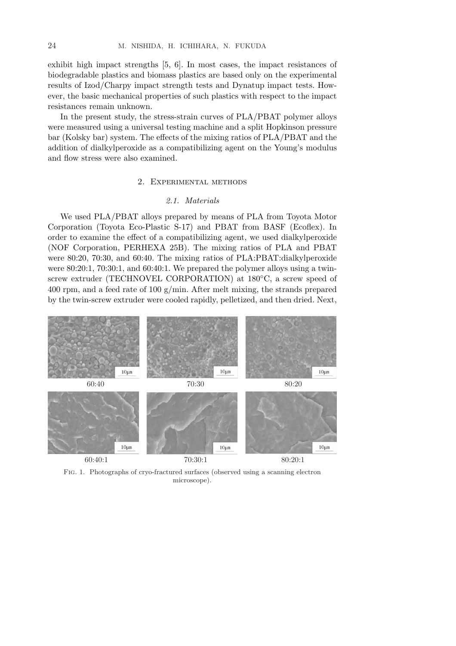exhibit high impact strengths [5, 6]. In most cases, the impact resistances of biodegradable plastics and biomass plastics are based only on the experimental results of Izod/Charpy impact strength tests and Dynatup impact tests. However, the basic mechanical properties of such plastics with respect to the impact resistances remain unknown.

In the present study, the stress-strain curves of PLA/PBAT polymer alloys were measured using a universal testing machine and a split Hopkinson pressure bar (Kolsky bar) system. The effects of the mixing ratios of PLA/PBAT and the addition of dialkylperoxide as a compatibilizing agent on the Young's modulus and flow stress were also examined.

## 2. Experimental methods

## *2.1. Materials*

We used PLA/PBAT alloys prepared by means of PLA from Toyota Motor Corporation (Toyota Eco-Plastic S-17) and PBAT from BASF (Ecoflex). In order to examine the effect of a compatibilizing agent, we used dialkylperoxide (NOF Corporation, PERHEXA 25B). The mixing ratios of PLA and PBAT were 80:20, 70:30, and 60:40. The mixing ratios of PLA:PBAT:dialkylperoxide were 80:20:1, 70:30:1, and 60:40:1. We prepared the polymer alloys using a twinscrew extruder (TECHNOVEL CORPORATION) at 180°C, a screw speed of 400 rpm, and a feed rate of 100 g/min. After melt mixing, the strands prepared by the twin-screw extruder were cooled rapidly, pelletized, and then dried. Next,



Fig. 1. Photographs of cryo-fractured surfaces (observed using a scanning electron microscope).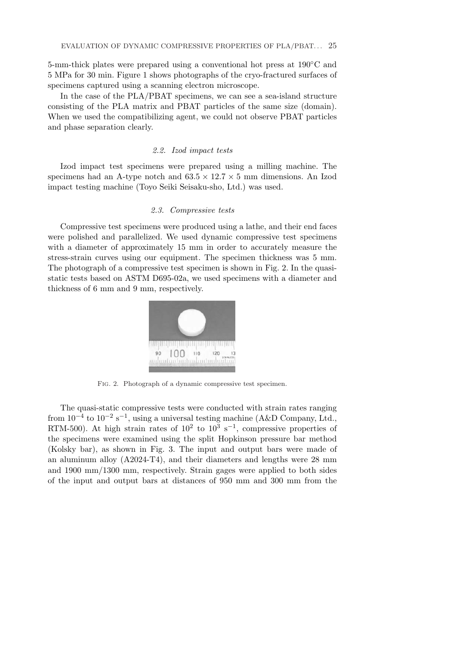5-mm-thick plates were prepared using a conventional hot press at 190◦C and 5 MPa for 30 min. Figure 1 shows photographs of the cryo-fractured surfaces of specimens captured using a scanning electron microscope.

In the case of the PLA/PBAT specimens, we can see a sea-island structure consisting of the PLA matrix and PBAT particles of the same size (domain). When we used the compatibilizing agent, we could not observe PBAT particles and phase separation clearly.

### *2.2. Izod impact tests*

Izod impact test specimens were prepared using a milling machine. The specimens had an A-type notch and  $63.5 \times 12.7 \times 5$  mm dimensions. An Izod impact testing machine (Toyo Seiki Seisaku-sho, Ltd.) was used.

### *2.3. Compressive tests*

Compressive test specimens were produced using a lathe, and their end faces were polished and parallelized. We used dynamic compressive test specimens with a diameter of approximately 15 mm in order to accurately measure the stress-strain curves using our equipment. The specimen thickness was 5 mm. The photograph of a compressive test specimen is shown in Fig. 2. In the quasistatic tests based on ASTM D695-02a, we used specimens with a diameter and thickness of 6 mm and 9 mm, respectively.



Fig. 2. Photograph of a dynamic compressive test specimen.

The quasi-static compressive tests were conducted with strain rates ranging from  $10^{-4}$  to  $10^{-2}$  s<sup>-1</sup>, using a universal testing machine (A&D Company, Ltd., RTM-500). At high strain rates of  $10^2$  to  $10^3$  s<sup>-1</sup>, compressive properties of the specimens were examined using the split Hopkinson pressure bar method (Kolsky bar), as shown in Fig. 3. The input and output bars were made of an aluminum alloy (A2024-T4), and their diameters and lengths were 28 mm and 1900 mm/1300 mm, respectively. Strain gages were applied to both sides of the input and output bars at distances of 950 mm and 300 mm from the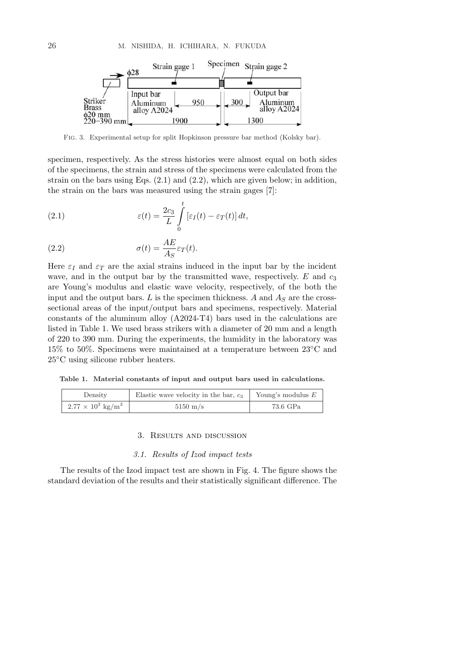

Fig. 3. Experimental setup for split Hopkinson pressure bar method (Kolsky bar).

specimen, respectively. As the stress histories were almost equal on both sides of the specimens, the strain and stress of the specimens were calculated from the strain on the bars using Eqs.  $(2.1)$  and  $(2.2)$ , which are given below; in addition, the strain on the bars was measured using the strain gages [7]:

(2.1) 
$$
\varepsilon(t) = \frac{2c_3}{L} \int_{0}^{t} \left[\varepsilon_I(t) - \varepsilon_T(t)\right] dt,
$$

(2.2) 
$$
\sigma(t) = \frac{AE}{A_S} \varepsilon_T(t).
$$

Here  $\varepsilon_I$  and  $\varepsilon_T$  are the axial strains induced in the input bar by the incident wave, and in the output bar by the transmitted wave, respectively.  $E$  and  $c_3$ are Young's modulus and elastic wave velocity, respectively, of the both the input and the output bars.  $L$  is the specimen thickness.  $A$  and  $A<sub>S</sub>$  are the crosssectional areas of the input/output bars and specimens, respectively. Material constants of the aluminum alloy (A2024-T4) bars used in the calculations are listed in Table 1. We used brass strikers with a diameter of 20 mm and a length of 220 to 390 mm. During the experiments, the humidity in the laboratory was 15% to 50%. Specimens were maintained at a temperature between 23◦C and 25<sup>°</sup>C using silicone rubber heaters.

**Table 1. Material constants of input and output bars used in calculations.**

| Density                              | Elastic wave velocity in the bar, $c_3$ | Young's modulus $E$ |
|--------------------------------------|-----------------------------------------|---------------------|
| $2.77 \times 10^3$ kg/m <sup>3</sup> | $5150 \text{ m/s}$                      | 73.6 GPa            |

## 3. Results and discussion

## *3.1. Results of Izod impact tests*

The results of the Izod impact test are shown in Fig. 4. The figure shows the standard deviation of the results and their statistically significant difference. The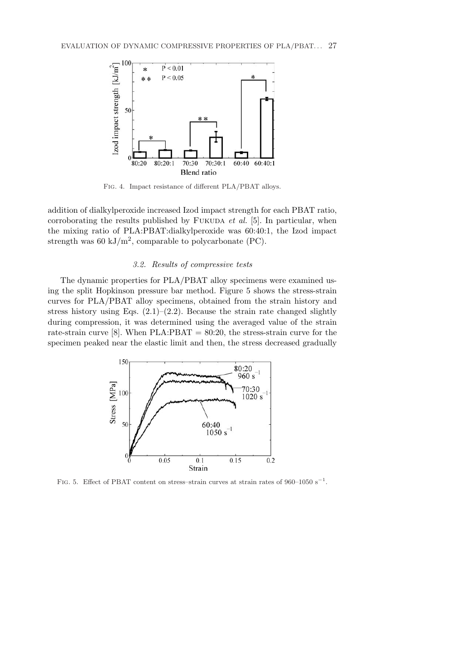

Fig. 4. Impact resistance of different PLA/PBAT alloys.

addition of dialkylperoxide increased Izod impact strength for each PBAT ratio, corroborating the results published by FUKUDA *et al.* [5]. In particular, when the mixing ratio of PLA:PBAT:dialkylperoxide was 60:40:1, the Izod impact strength was 60 kJ/m<sup>2</sup>, comparable to polycarbonate (PC).

## *3.2. Results of compressive tests*

The dynamic properties for PLA/PBAT alloy specimens were examined using the split Hopkinson pressure bar method. Figure 5 shows the stress-strain curves for PLA/PBAT alloy specimens, obtained from the strain history and stress history using Eqs.  $(2.1)$ – $(2.2)$ . Because the strain rate changed slightly during compression, it was determined using the averaged value of the strain rate-strain curve [8]. When  $PLA:PBAT = 80:20$ , the stress-strain curve for the specimen peaked near the elastic limit and then, the stress decreased gradually



FIG. 5. Effect of PBAT content on stress–strain curves at strain rates of 960–1050 s<sup>-1</sup>.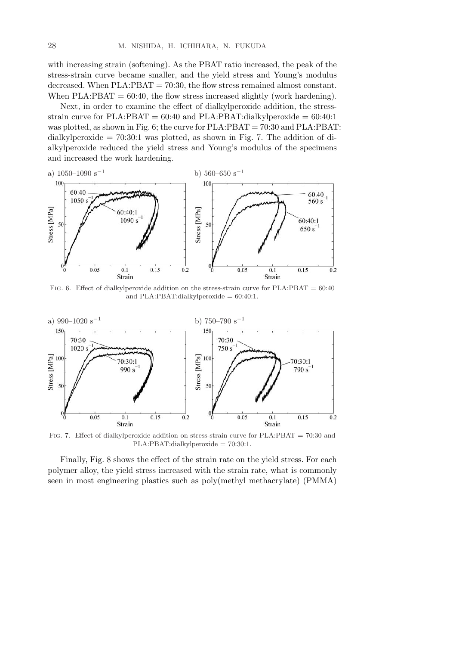with increasing strain (softening). As the PBAT ratio increased, the peak of the stress-strain curve became smaller, and the yield stress and Young's modulus decreased. When PLA:PBAT = 70:30, the flow stress remained almost constant. When  $PLA: PBAT = 60:40$ , the flow stress increased slightly (work hardening).

Next, in order to examine the effect of dialkylperoxide addition, the stressstrain curve for PLA:PBAT =  $60:40$  and PLA:PBAT:dialkylperoxide =  $60:40:1$ was plotted, as shown in Fig. 6; the curve for  $PLA:PBAT = 70:30$  and  $PLA:PBAT$ : dialkylperoxide  $= 70:30:1$  was plotted, as shown in Fig. 7. The addition of dialkylperoxide reduced the yield stress and Young's modulus of the specimens and increased the work hardening.



FIG. 6. Effect of dialkylperoxide addition on the stress-strain curve for  $PLA:PBAT = 60:40$ and PLA:PBAT:dialkylperoxide  $= 60:40:1$ .



Fig. 7. Effect of dialkylperoxide addition on stress-strain curve for PLA:PBAT = 70:30 and PLA:PBAT:dialkylperoxide = 70:30:1.

Finally, Fig. 8 shows the effect of the strain rate on the yield stress. For each polymer alloy, the yield stress increased with the strain rate, what is commonly seen in most engineering plastics such as poly(methyl methacrylate) (PMMA)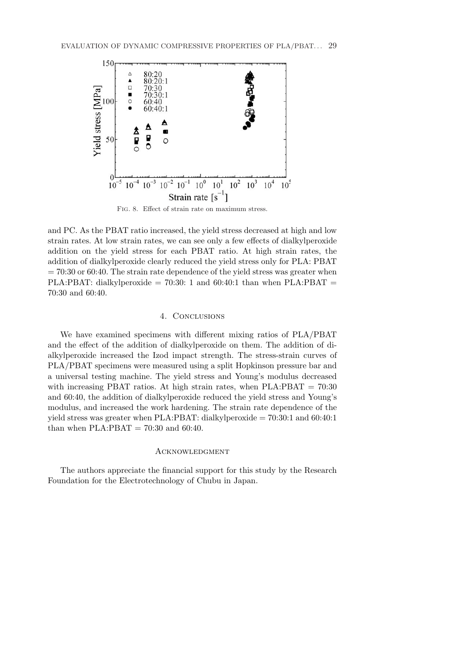

Fig. 8. Effect of strain rate on maximum stress.

and PC. As the PBAT ratio increased, the yield stress decreased at high and low strain rates. At low strain rates, we can see only a few effects of dialkylperoxide addition on the yield stress for each PBAT ratio. At high strain rates, the addition of dialkylperoxide clearly reduced the yield stress only for PLA: PBAT  $= 70:30$  or 60:40. The strain rate dependence of the yield stress was greater when PLA:PBAT: dialkylperoxide =  $70:30:1$  and  $60:40:1$  than when PLA:PBAT = 70:30 and 60:40.

### 4. Conclusions

We have examined specimens with different mixing ratios of PLA/PBAT and the effect of the addition of dialkylperoxide on them. The addition of dialkylperoxide increased the Izod impact strength. The stress-strain curves of PLA/PBAT specimens were measured using a split Hopkinson pressure bar and a universal testing machine. The yield stress and Young's modulus decreased with increasing PBAT ratios. At high strain rates, when  $PLA:PBAT = 70:30$ and 60:40, the addition of dialkylperoxide reduced the yield stress and Young's modulus, and increased the work hardening. The strain rate dependence of the yield stress was greater when PLA:PBAT: dialkylperoxide = 70:30:1 and 60:40:1 than when  $PLA:PBAT = 70:30$  and 60:40.

#### **ACKNOWLEDGMENT**

The authors appreciate the financial support for this study by the Research Foundation for the Electrotechnology of Chubu in Japan.